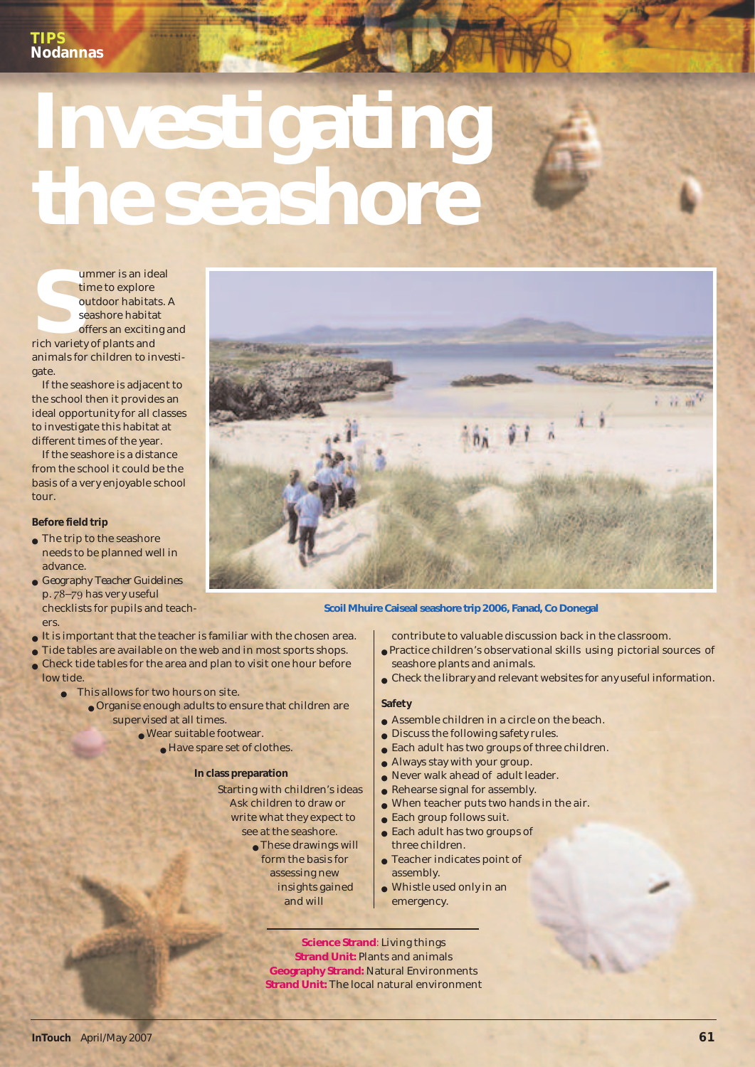# **Investigating the seashore**

Ummer is an identify the total variety of plants and and variety of plants and  $\frac{1}{2}$  of  $\frac{1}{2}$  of  $\frac{1}{2}$  of  $\frac{1}{2}$  of  $\frac{1}{2}$  of  $\frac{1}{2}$  of  $\frac{1}{2}$  of  $\frac{1}{2}$  of  $\frac{1}{2}$  of  $\frac{1}{2}$  of  $\frac{1}{2}$  of ummer is an ideal time to explore outdoor habitats. A seashore habitat offers an exciting and animals for children to investigate.

If the seashore is adjacent to the school then it provides an ideal opportunity for all classes to investigate this habitat at different times of the year.

If the seashore is a distance from the school it could be the basis of a very enjoyable school tour.

### **Before field trip**

- $\bullet$  The trip to the seashore needs to be planned well in advance.
- *Geography Teacher Guideline*s p. 78-79 has very useful checklists for pupils and teachers
- $\bullet$  It is important that the teacher is familiar with the chosen area.
- Tide tables are available on the web and in most sports shops.  $\bullet$  Check tide tables for the area and plan to visit one hour before
- low tide.
	- This allows for two hours on site.
		- Organise enough adults to ensure that children are supervised at all times.
			- Wear suitable footwear.
				- Have spare set of clothes.

## **In class preparation**

- Starting with children's ideas Ask children to draw or write what they expect to
	- see at the seashore. ● These drawings will
		- form the basis for assessing new insights gained and will

### **Scoil Mhuire Caiseal seashore trip 2006, Fanad, Co Donegal**

contribute to valuable discussion back in the classroom.

- Practice children's observational skills using pictorial sources of seashore plants and animals.
- Check the library and relevant websites for any useful information.

# **Safety**

- Assemble children in a circle on the beach.
- Discuss the following safety rules.
- Each adult has two groups of three children.
- Always stay with your group.
- Never walk ahead of adult leader.
- $\bullet$  Rehearse signal for assembly.
- When teacher puts two hands in the air.
- $\bullet$  Each group follows suit.
- Each adult has two groups of
	- three children. ● Teacher indicates point of
	- assembly.
- Whistle used only in an emergency.

**Science Strand**: Living things **Strand Unit:** Plants and animals **Geography Strand:** Natural Environments **Strand Unit:** The local natural environment